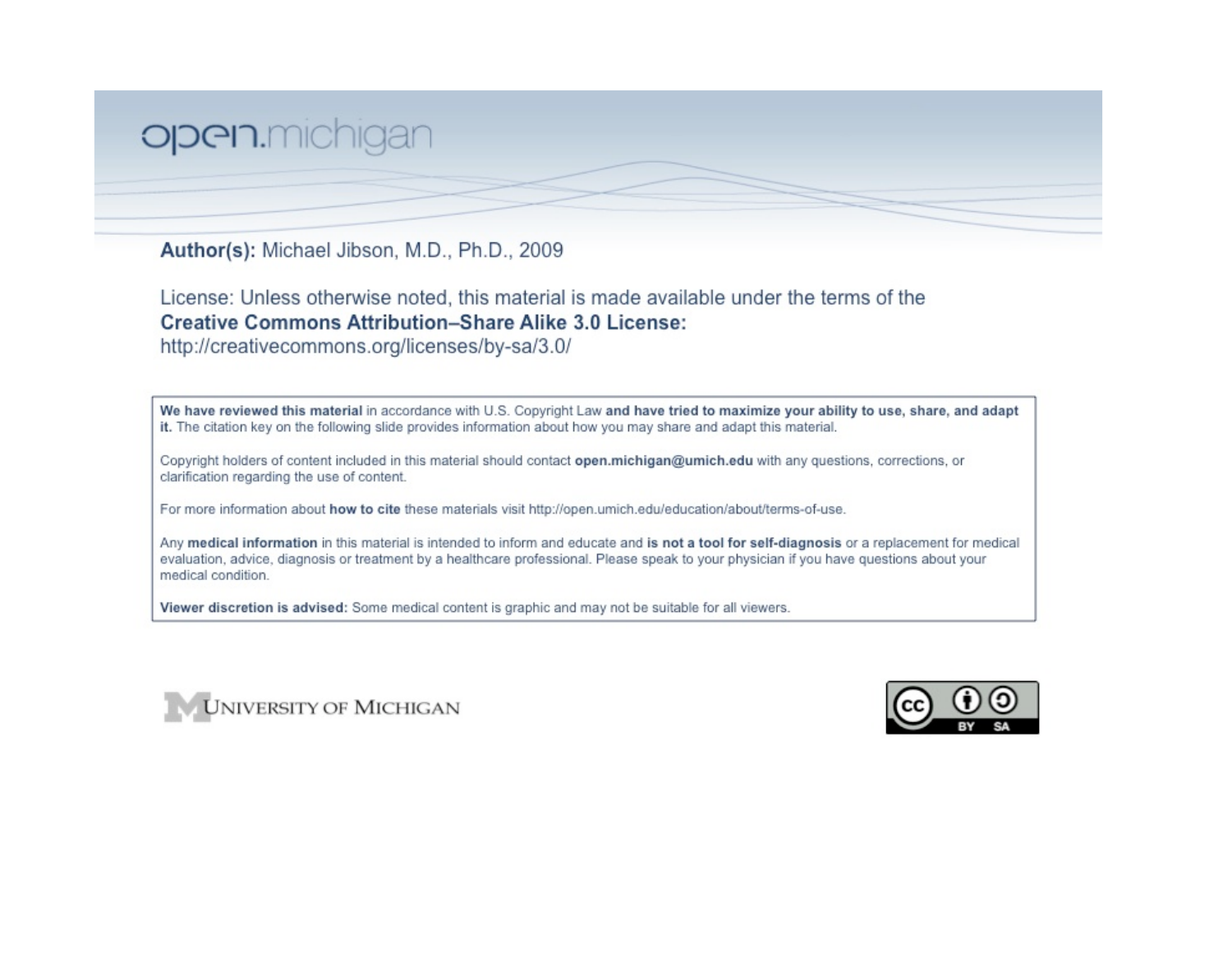# open.michigan

Author(s): Michael Jibson, M.D., Ph.D., 2009

License: Unless otherwise noted, this material is made available under the terms of the **Creative Commons Attribution-Share Alike 3.0 License:** 

http://creativecommons.org/licenses/by-sa/3.0/

We have reviewed this material in accordance with U.S. Copyright Law and have tried to maximize your ability to use, share, and adapt it. The citation key on the following slide provides information about how you may share and adapt this material.

Copyright holders of content included in this material should contact open.michigan@umich.edu with any questions, corrections, or clarification regarding the use of content.

For more information about how to cite these materials visit http://open.umich.edu/education/about/terms-of-use.

Any medical information in this material is intended to inform and educate and is not a tool for self-diagnosis or a replacement for medical evaluation, advice, diagnosis or treatment by a healthcare professional. Please speak to your physician if you have questions about your medical condition.

Viewer discretion is advised: Some medical content is graphic and may not be suitable for all viewers.



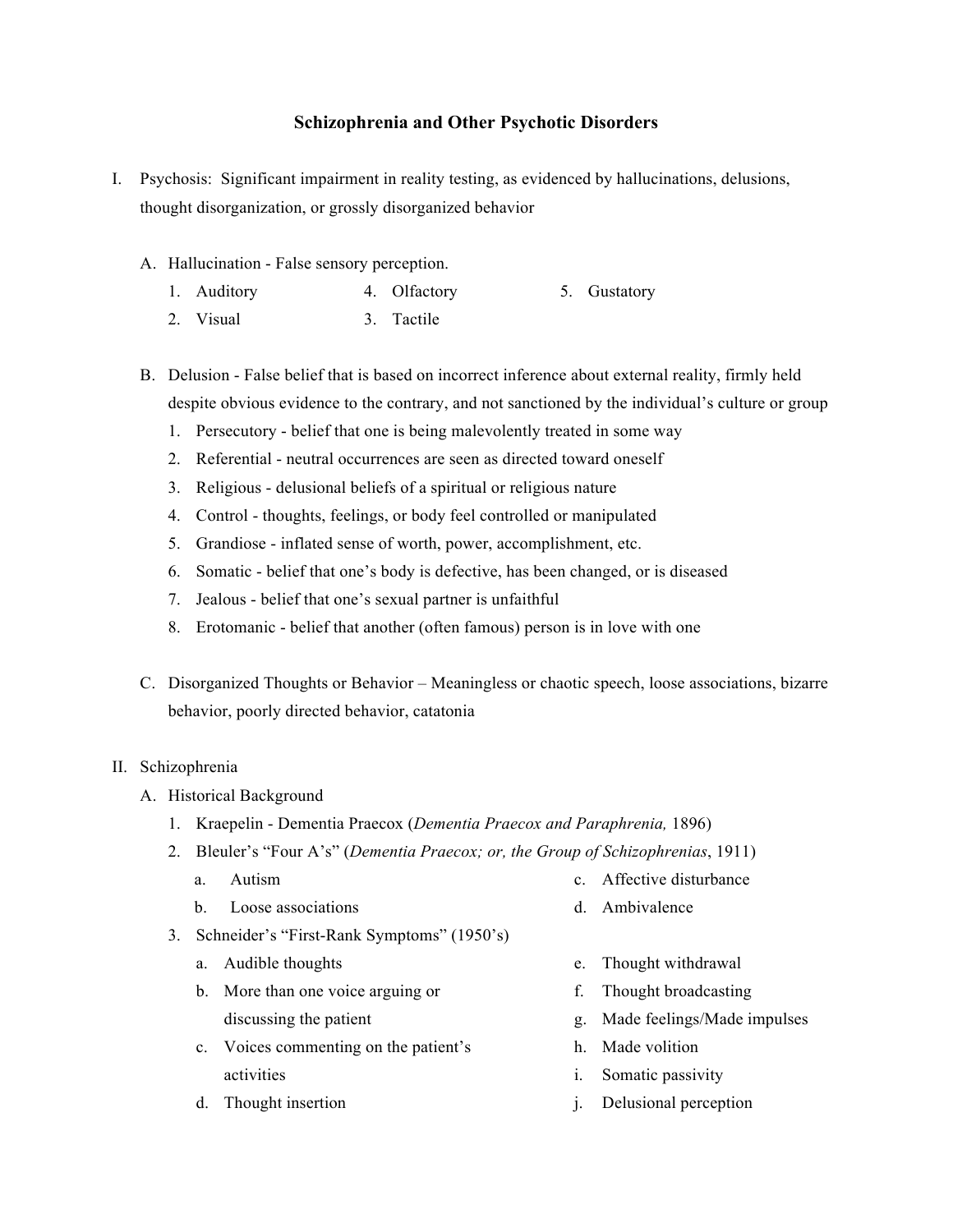## **Schizophrenia and Other Psychotic Disorders**

- I. Psychosis: Significant impairment in reality testing, as evidenced by hallucinations, delusions, thought disorganization, or grossly disorganized behavior
	- A. Hallucination False sensory perception.
		- 1. Auditory 4. Olfactory 5. Gustatory 2. Visual 3. Tactile
	- B. Delusion False belief that is based on incorrect inference about external reality, firmly held despite obvious evidence to the contrary, and not sanctioned by the individual's culture or group
		- 1. Persecutory belief that one is being malevolently treated in some way
		- 2. Referential neutral occurrences are seen as directed toward oneself
		- 3. Religious delusional beliefs of a spiritual or religious nature
		- 4. Control thoughts, feelings, or body feel controlled or manipulated
		- 5. Grandiose inflated sense of worth, power, accomplishment, etc.
		- 6. Somatic belief that one's body is defective, has been changed, or is diseased
		- 7. Jealous belief that one's sexual partner is unfaithful
		- 8. Erotomanic belief that another (often famous) person is in love with one
	- C. Disorganized Thoughts or Behavior Meaningless or chaotic speech, loose associations, bizarre behavior, poorly directed behavior, catatonia

## II. Schizophrenia

- A. Historical Background
	- 1. Kraepelin Dementia Praecox (*Dementia Praecox and Paraphrenia,* 1896)
	- 2. Bleuler's "Four A's" (*Dementia Praecox; or, the Group of Schizophrenias*, 1911)
		-
		- b. Loose associations d. Ambivalence
	- 3. Schneider's "First-Rank Symptoms" (1950's)
		-
		- b. More than one voice arguing or f. Thought broadcasting
		- c. Voices commenting on the patient's h. Made volition activities i. Somatic passivity
		-
- a. Autism c. Affective disturbance
	-
- a. Audible thoughts e. Thought withdrawal
	-
	- discussing the patient g. Made feelings/Made impulses
		-
		-
- d. Thought insertion i. Delusional perception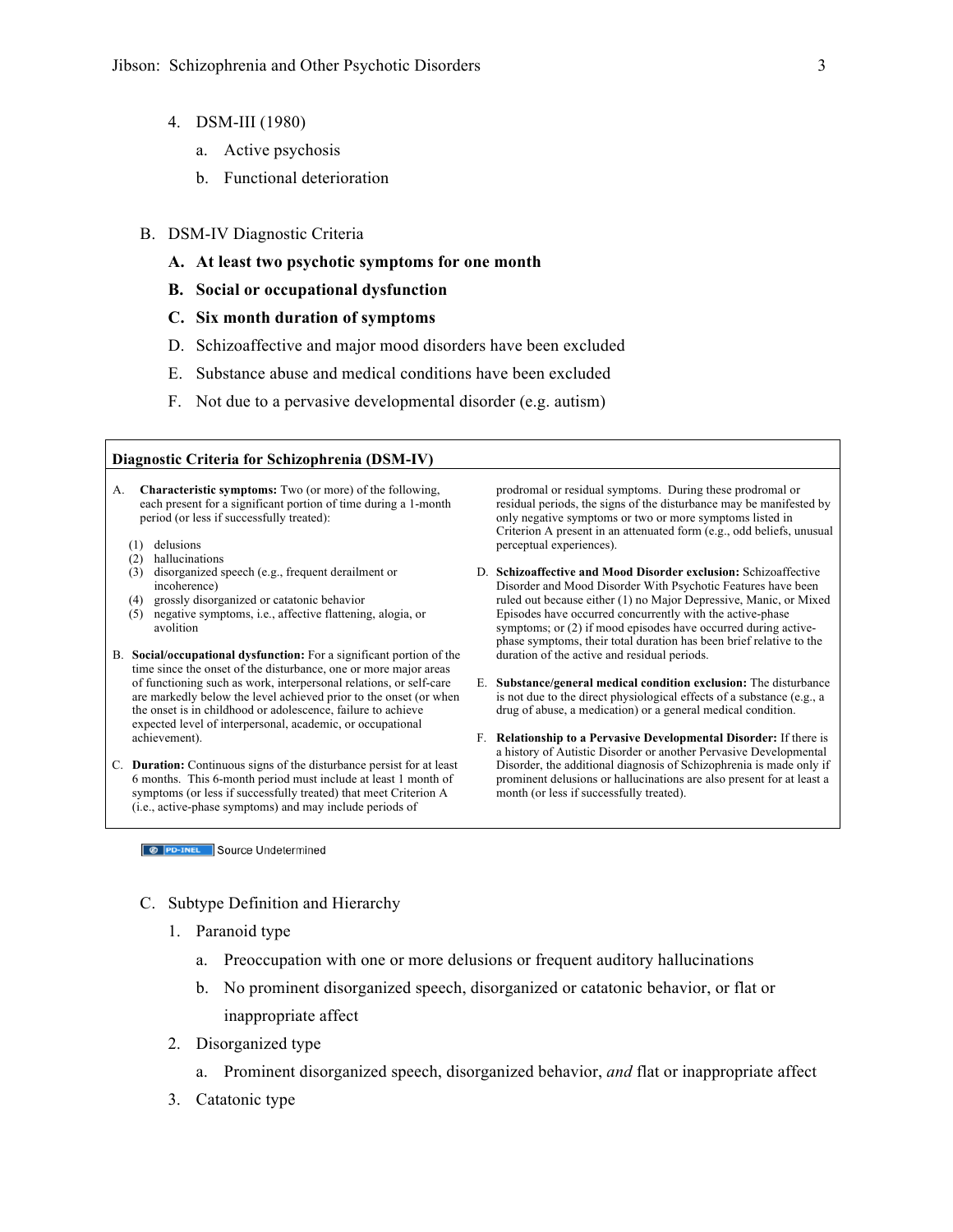- 4. DSM-III (1980)
	- a. Active psychosis
	- b. Functional deterioration
- B. DSM-IV Diagnostic Criteria
	- **A. At least two psychotic symptoms for one month**
	- **B. Social or occupational dysfunction**
	- **C. Six month duration of symptoms**
	- D. Schizoaffective and major mood disorders have been excluded
	- E. Substance abuse and medical conditions have been excluded
	- F. Not due to a pervasive developmental disorder (e.g. autism)

#### **Diagnostic Criteria for Schizophrenia (DSM-IV)**

- A. **Characteristic symptoms:** Two (or more) of the following, each present for a significant portion of time during a 1-month period (or less if successfully treated):
	- (1) delusions
	- (2) hallucinations
	- (3) disorganized speech (e.g., frequent derailment or incoherence)
	- (4) grossly disorganized or catatonic behavior
	- (5) negative symptoms, i.e., affective flattening, alogia, or avolition
- B. **Social/occupational dysfunction:** For a significant portion of the time since the onset of the disturbance, one or more major areas of functioning such as work, interpersonal relations, or self-care are markedly below the level achieved prior to the onset (or when the onset is in childhood or adolescence, failure to achieve expected level of interpersonal, academic, or occupational achievement).
- C. **Duration:** Continuous signs of the disturbance persist for at least 6 months. This 6-month period must include at least 1 month of symptoms (or less if successfully treated) that meet Criterion A (i.e., active-phase symptoms) and may include periods of

prodromal or residual symptoms. During these prodromal or residual periods, the signs of the disturbance may be manifested by only negative symptoms or two or more symptoms listed in Criterion A present in an attenuated form (e.g., odd beliefs, unusual perceptual experiences).

- D. **Schizoaffective and Mood Disorder exclusion:** Schizoaffective Disorder and Mood Disorder With Psychotic Features have been ruled out because either (1) no Major Depressive, Manic, or Mixed Episodes have occurred concurrently with the active-phase symptoms; or (2) if mood episodes have occurred during activephase symptoms, their total duration has been brief relative to the duration of the active and residual periods.
- E. **Substance/general medical condition exclusion:** The disturbance is not due to the direct physiological effects of a substance (e.g., a drug of abuse, a medication) or a general medical condition.
- F. **Relationship to a Pervasive Developmental Disorder:** If there is a history of Autistic Disorder or another Pervasive Developmental Disorder, the additional diagnosis of Schizophrenia is made only if prominent delusions or hallucinations are also present for at least a month (or less if successfully treated).

**8** PD-INEL Source Undetermined

- C. Subtype Definition and Hierarchy
	- 1. Paranoid type
		- a. Preoccupation with one or more delusions or frequent auditory hallucinations
		- b. No prominent disorganized speech, disorganized or catatonic behavior, or flat or inappropriate affect
	- 2. Disorganized type
		- a. Prominent disorganized speech, disorganized behavior, *and* flat or inappropriate affect
	- 3. Catatonic type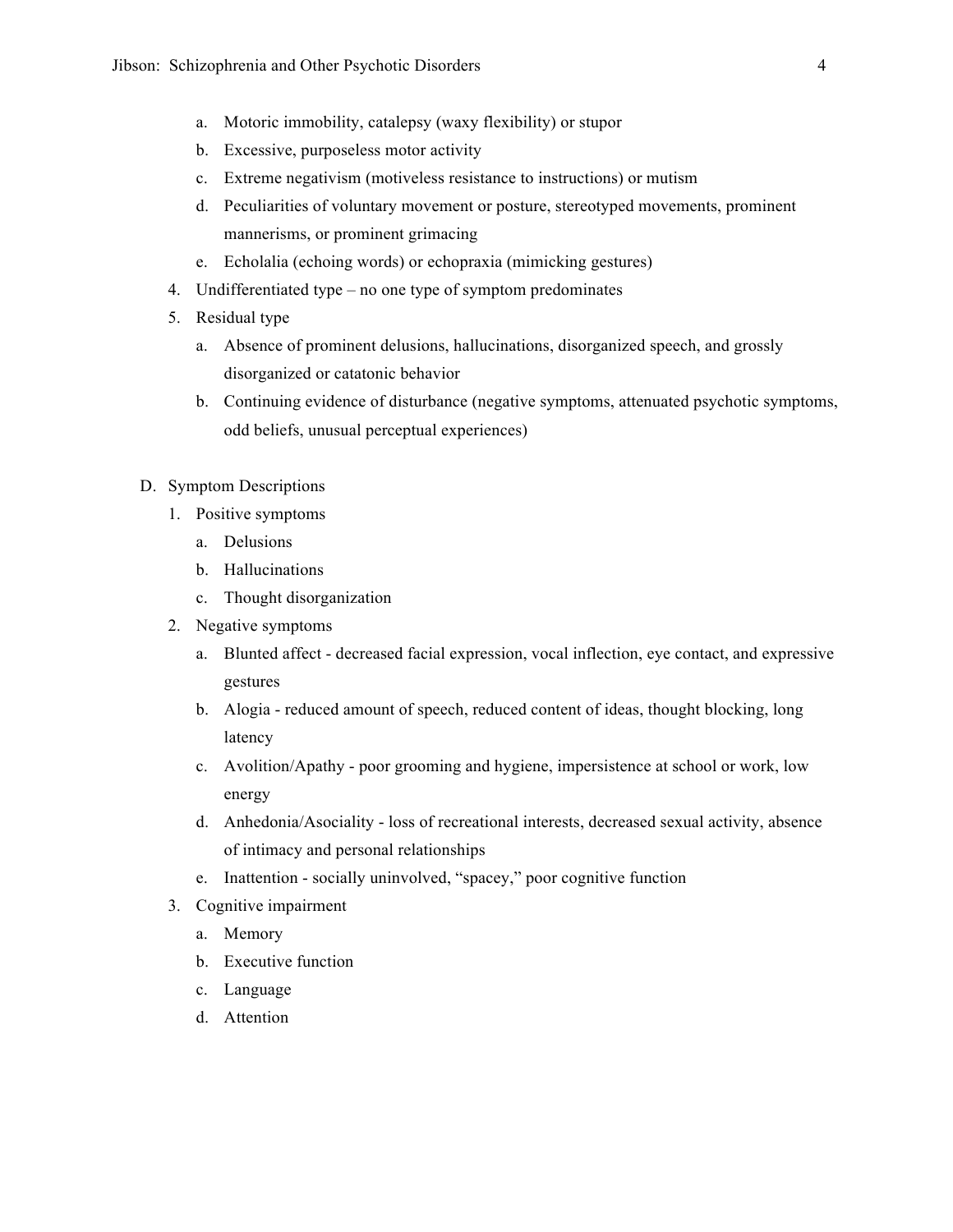- a. Motoric immobility, catalepsy (waxy flexibility) or stupor
- b. Excessive, purposeless motor activity
- c. Extreme negativism (motiveless resistance to instructions) or mutism
- d. Peculiarities of voluntary movement or posture, stereotyped movements, prominent mannerisms, or prominent grimacing
- e. Echolalia (echoing words) or echopraxia (mimicking gestures)
- 4. Undifferentiated type no one type of symptom predominates
- 5. Residual type
	- a. Absence of prominent delusions, hallucinations, disorganized speech, and grossly disorganized or catatonic behavior
	- b. Continuing evidence of disturbance (negative symptoms, attenuated psychotic symptoms, odd beliefs, unusual perceptual experiences)
- D. Symptom Descriptions
	- 1. Positive symptoms
		- a. Delusions
		- b. Hallucinations
		- c. Thought disorganization
	- 2. Negative symptoms
		- a. Blunted affect decreased facial expression, vocal inflection, eye contact, and expressive gestures
		- b. Alogia reduced amount of speech, reduced content of ideas, thought blocking, long latency
		- c. Avolition/Apathy poor grooming and hygiene, impersistence at school or work, low energy
		- d. Anhedonia/Asociality loss of recreational interests, decreased sexual activity, absence of intimacy and personal relationships
		- e. Inattention socially uninvolved, "spacey," poor cognitive function
	- 3. Cognitive impairment
		- a. Memory
		- b. Executive function
		- c. Language
		- d. Attention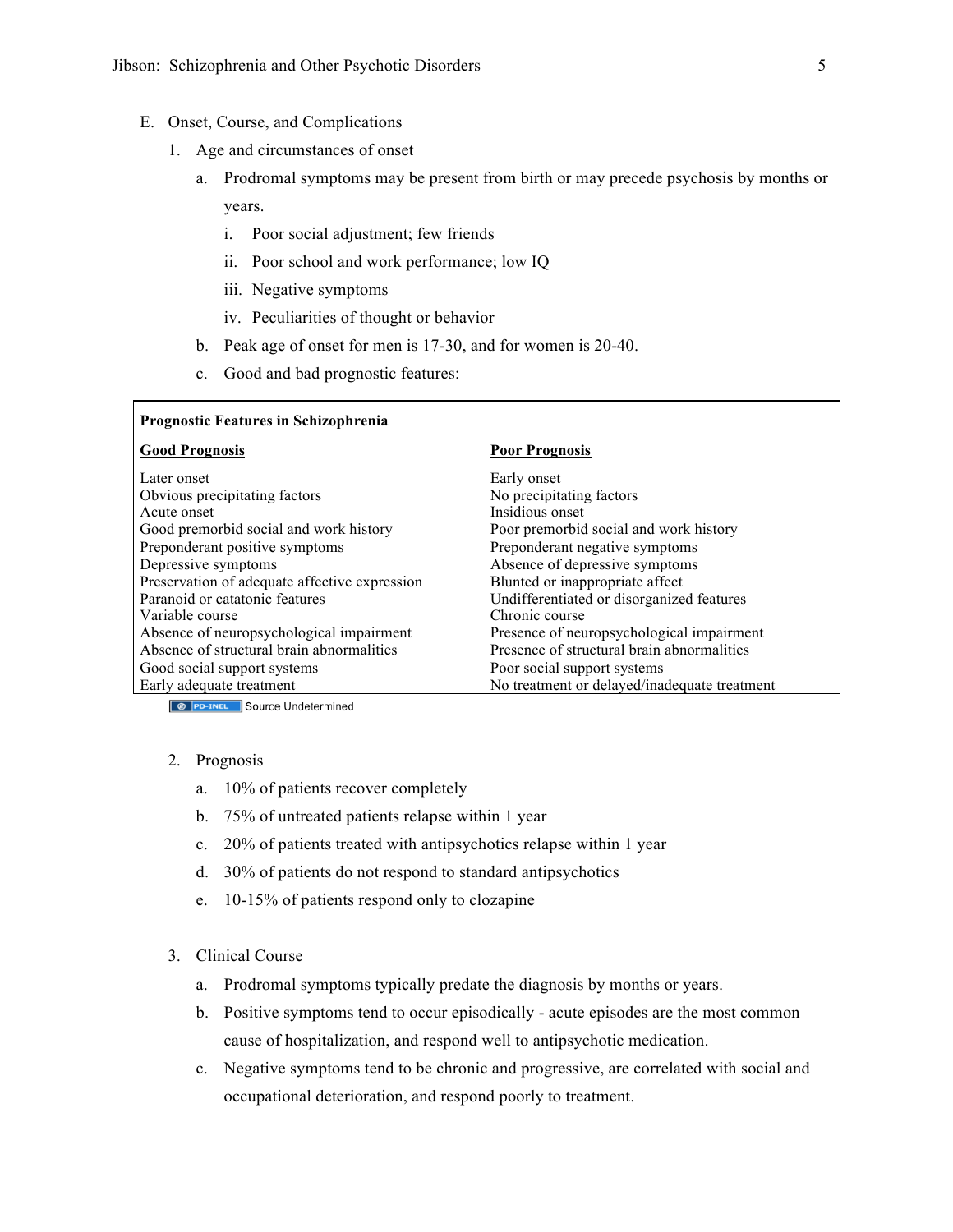- E. Onset, Course, and Complications
	- 1. Age and circumstances of onset
		- a. Prodromal symptoms may be present from birth or may precede psychosis by months or years.
			- i. Poor social adjustment; few friends
			- ii. Poor school and work performance; low IQ
			- iii. Negative symptoms
			- iv. Peculiarities of thought or behavior
		- b. Peak age of onset for men is 17-30, and for women is 20-40.
		- c. Good and bad prognostic features:

| <b>Prognostic Features in Schizophrenia</b> |  |  |
|---------------------------------------------|--|--|
|                                             |  |  |

## **Good Prognosis Poor Prognosis**

| <b>OUGHT LOCHUSHS</b>                         | T AAT T LACTLAND                             |  |  |
|-----------------------------------------------|----------------------------------------------|--|--|
| Later onset                                   | Early onset                                  |  |  |
| Obvious precipitating factors                 | No precipitating factors                     |  |  |
| Acute onset                                   | Insidious onset                              |  |  |
| Good premorbid social and work history        | Poor premorbid social and work history       |  |  |
| Preponderant positive symptoms                | Preponderant negative symptoms               |  |  |
| Depressive symptoms                           | Absence of depressive symptoms               |  |  |
| Preservation of adequate affective expression | Blunted or inappropriate affect              |  |  |
| Paranoid or catatonic features                | Undifferentiated or disorganized features    |  |  |
| Variable course                               | Chronic course                               |  |  |
| Absence of neuropsychological impairment      | Presence of neuropsychological impairment    |  |  |
| Absence of structural brain abnormalities     | Presence of structural brain abnormalities   |  |  |
| Good social support systems                   | Poor social support systems                  |  |  |
| Early adequate treatment                      | No treatment or delayed/inadequate treatment |  |  |

**C** PD-INEL Source Undetermined

#### 2. Prognosis

- a. 10% of patients recover completely
- b. 75% of untreated patients relapse within 1 year
- c. 20% of patients treated with antipsychotics relapse within 1 year
- d. 30% of patients do not respond to standard antipsychotics
- e. 10-15% of patients respond only to clozapine

#### 3. Clinical Course

- a. Prodromal symptoms typically predate the diagnosis by months or years.
- b. Positive symptoms tend to occur episodically acute episodes are the most common cause of hospitalization, and respond well to antipsychotic medication.
- c. Negative symptoms tend to be chronic and progressive, are correlated with social and occupational deterioration, and respond poorly to treatment.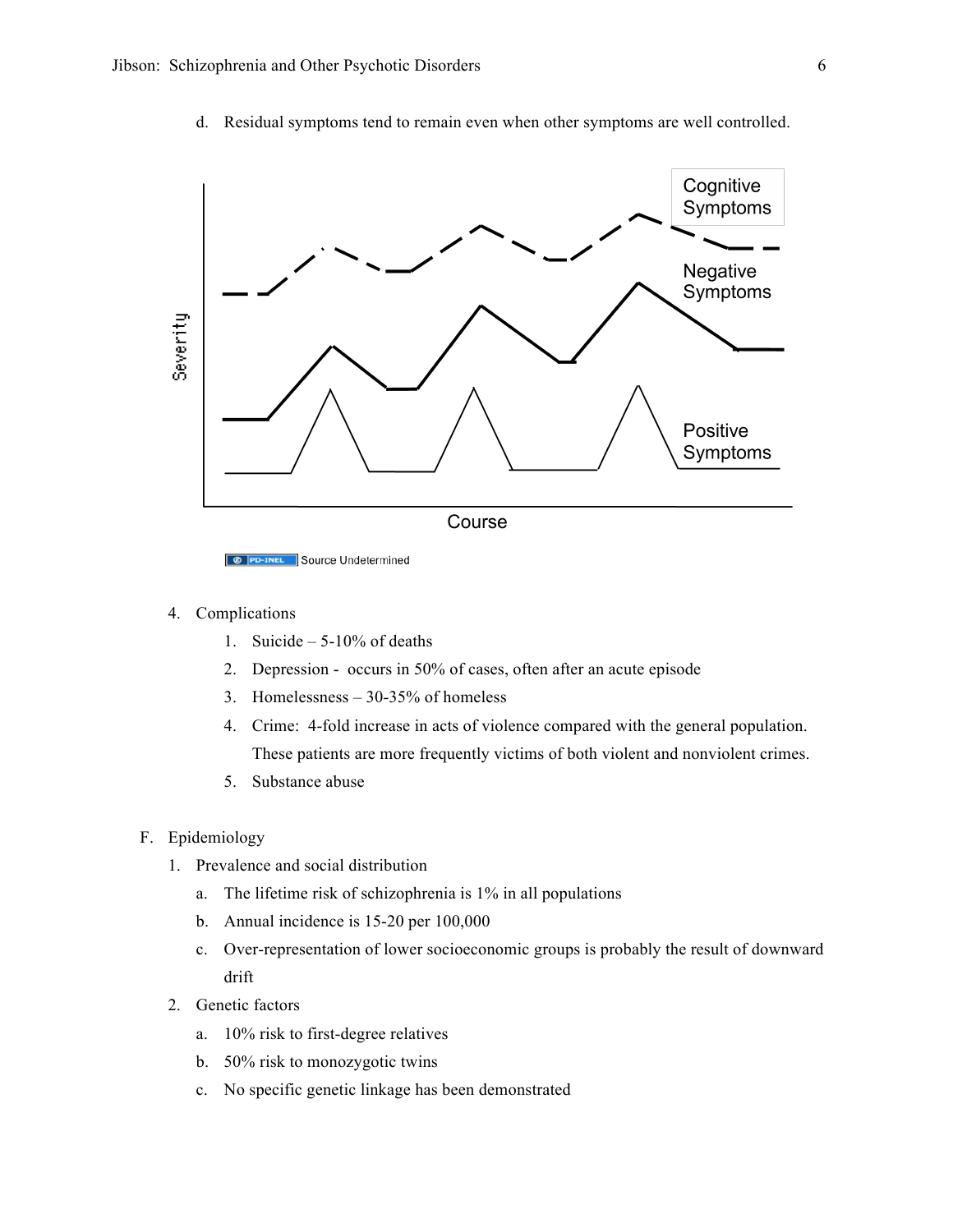

d. Residual symptoms tend to remain even when other symptoms are well controlled.

- 4. Complications
	- 1. Suicide  $-5-10\%$  of deaths
	- 2. Depression occurs in 50% of cases, often after an acute episode
	- 3. Homelessness 30-35% of homeless
	- 4. Crime: 4-fold increase in acts of violence compared with the general population. These patients are more frequently victims of both violent and nonviolent crimes.
	- 5. Substance abuse

## F. Epidemiology

- 1. Prevalence and social distribution
	- a. The lifetime risk of schizophrenia is 1% in all populations
	- b. Annual incidence is 15-20 per 100,000
	- c. Over-representation of lower socioeconomic groups is probably the result of downward drift
- 2. Genetic factors
	- a. 10% risk to first-degree relatives
	- b. 50% risk to monozygotic twins
	- c. No specific genetic linkage has been demonstrated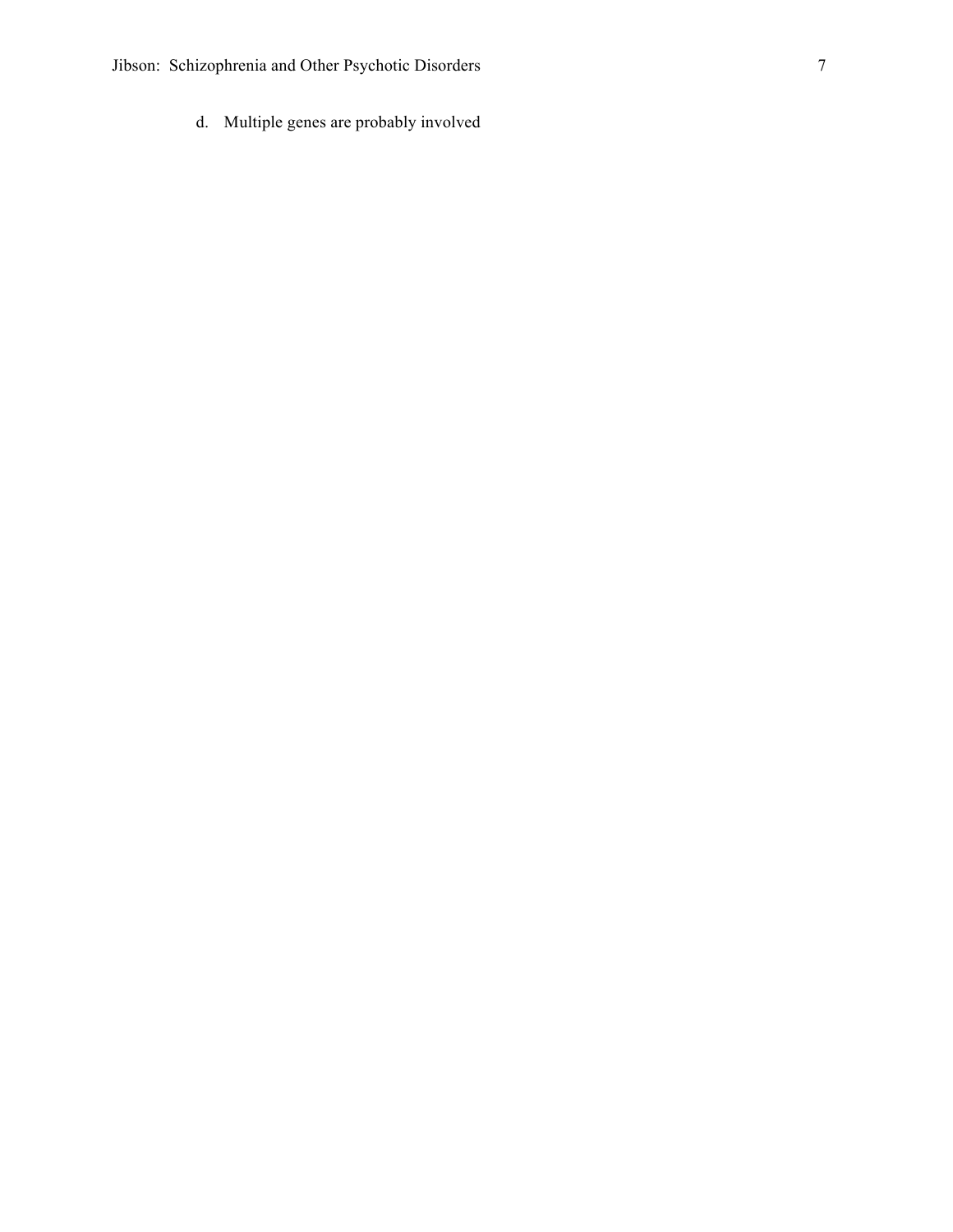d. Multiple genes are probably involved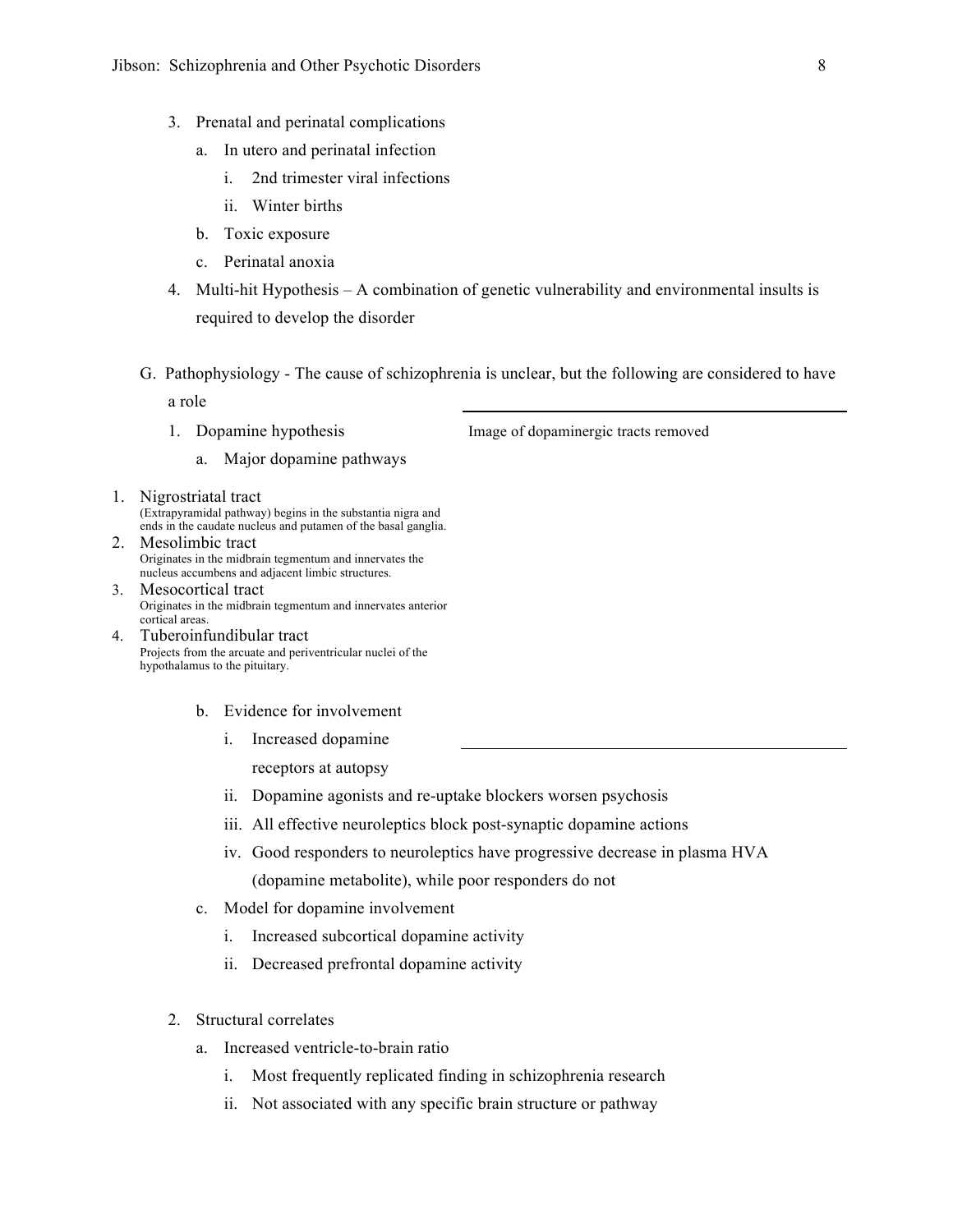- 3. Prenatal and perinatal complications
	- a. In utero and perinatal infection
		- i. 2nd trimester viral infections
		- ii. Winter births
	- b. Toxic exposure
	- c. Perinatal anoxia
- 4. Multi-hit Hypothesis A combination of genetic vulnerability and environmental insults is required to develop the disorder
- G. Pathophysiology The cause of schizophrenia is unclear, but the following are considered to have a role
	- 1. Dopamine hypothesis

Image of dopaminergic tracts removed

- a. Major dopamine pathways
- 1. Nigrostriatal tract (Extrapyramidal pathway) begins in the substantia nigra and ends in the caudate nucleus and putamen of the basal ganglia.
- 2. Mesolimbic tract Originates in the midbrain tegmentum and innervates the nucleus accumbens and adjacent limbic structures.
- 3. Mesocortical tract Originates in the midbrain tegmentum and innervates anterior cortical areas.
- 4. Tuberoinfundibular tract Projects from the arcuate and periventricular nuclei of the hypothalamus to the pituitary.
	- b. Evidence for involvement
		- i. Increased dopamine

receptors at autopsy

- ii. Dopamine agonists and re-uptake blockers worsen psychosis
- iii. All effective neuroleptics block post-synaptic dopamine actions
- iv. Good responders to neuroleptics have progressive decrease in plasma HVA (dopamine metabolite), while poor responders do not
- c. Model for dopamine involvement
	- i. Increased subcortical dopamine activity
	- ii. Decreased prefrontal dopamine activity
- 2. Structural correlates
	- a. Increased ventricle-to-brain ratio
		- i. Most frequently replicated finding in schizophrenia research
		- ii. Not associated with any specific brain structure or pathway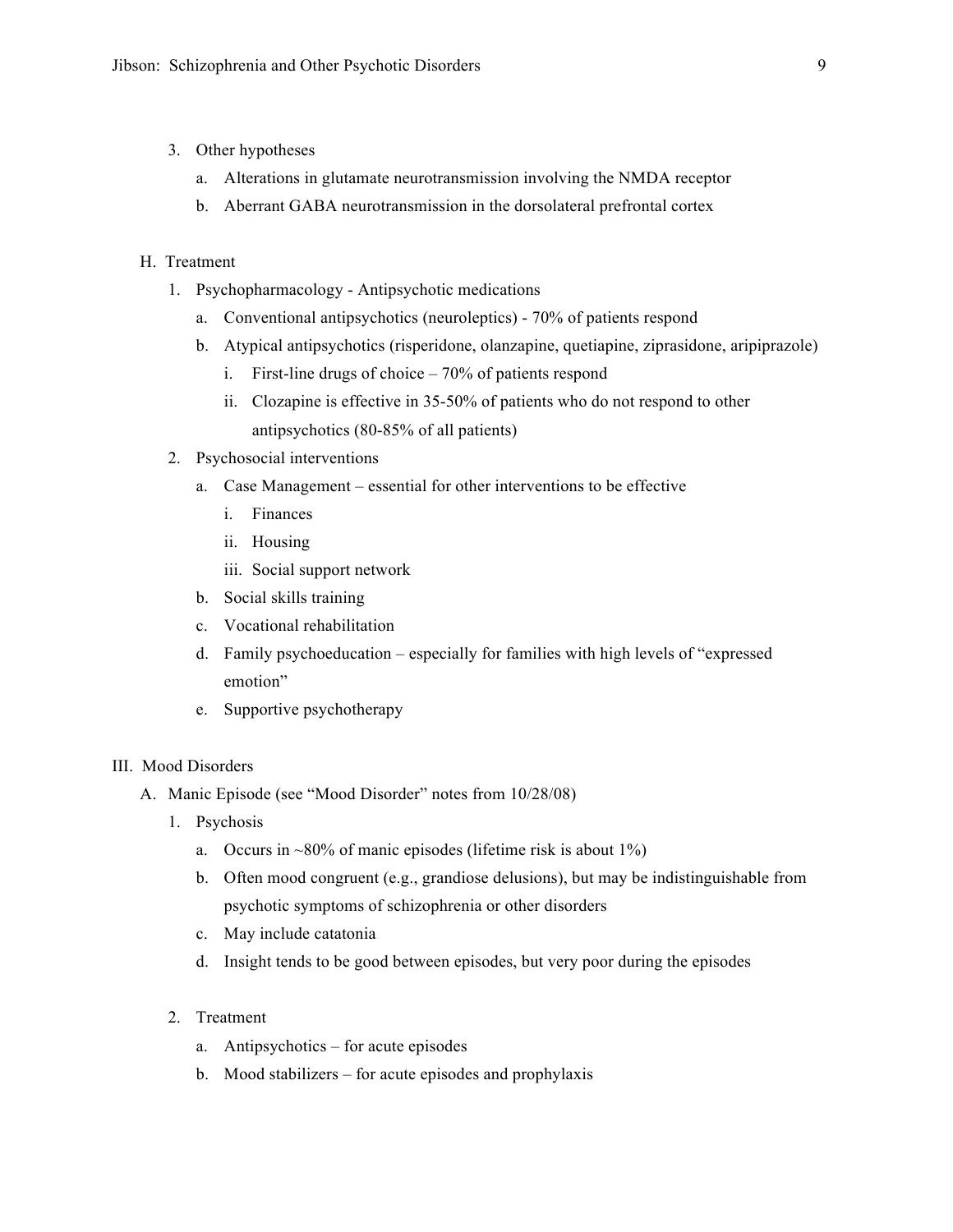- 3. Other hypotheses
	- a. Alterations in glutamate neurotransmission involving the NMDA receptor
	- b. Aberrant GABA neurotransmission in the dorsolateral prefrontal cortex

#### H. Treatment

- 1. Psychopharmacology Antipsychotic medications
	- a. Conventional antipsychotics (neuroleptics) 70% of patients respond
	- b. Atypical antipsychotics (risperidone, olanzapine, quetiapine, ziprasidone, aripiprazole)
		- i. First-line drugs of choice 70% of patients respond
		- ii. Clozapine is effective in 35-50% of patients who do not respond to other antipsychotics (80-85% of all patients)
- 2. Psychosocial interventions
	- a. Case Management essential for other interventions to be effective
		- i. Finances
		- ii. Housing
		- iii. Social support network
	- b. Social skills training
	- c. Vocational rehabilitation
	- d. Family psychoeducation especially for families with high levels of "expressed emotion"
	- e. Supportive psychotherapy

#### III. Mood Disorders

- A. Manic Episode (see "Mood Disorder" notes from 10/28/08)
	- 1. Psychosis
		- a. Occurs in  $\sim 80\%$  of manic episodes (lifetime risk is about  $1\%$ )
		- b. Often mood congruent (e.g., grandiose delusions), but may be indistinguishable from psychotic symptoms of schizophrenia or other disorders
		- c. May include catatonia
		- d. Insight tends to be good between episodes, but very poor during the episodes
	- 2. Treatment
		- a. Antipsychotics for acute episodes
		- b. Mood stabilizers for acute episodes and prophylaxis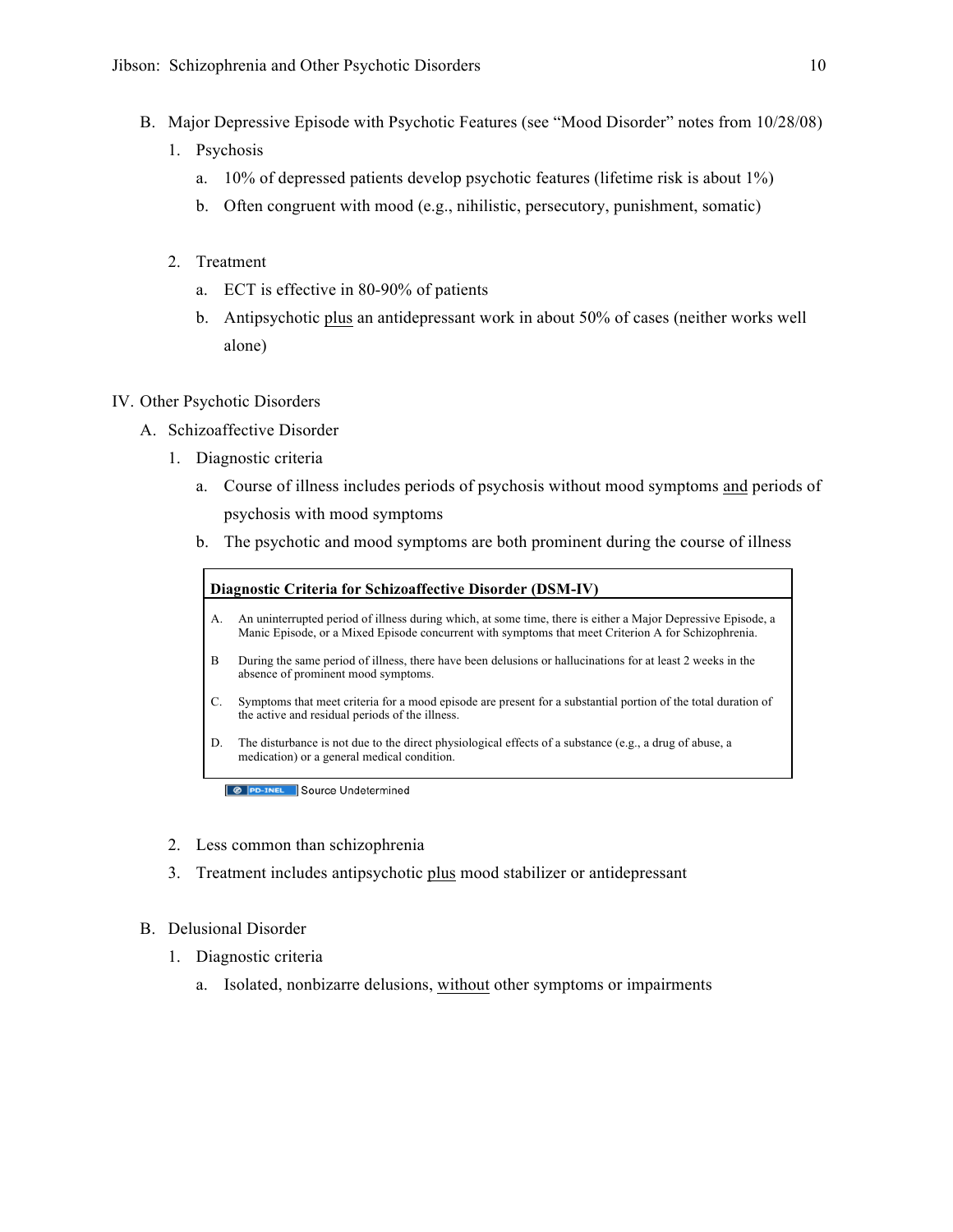- B. Major Depressive Episode with Psychotic Features (see "Mood Disorder" notes from 10/28/08)
	- 1. Psychosis
		- a. 10% of depressed patients develop psychotic features (lifetime risk is about 1%)
		- b. Often congruent with mood (e.g., nihilistic, persecutory, punishment, somatic)
	- 2. Treatment
		- a. ECT is effective in 80-90% of patients
		- b. Antipsychotic plus an antidepressant work in about 50% of cases (neither works well alone)

## IV. Other Psychotic Disorders

- A. Schizoaffective Disorder
	- 1. Diagnostic criteria
		- a. Course of illness includes periods of psychosis without mood symptoms and periods of psychosis with mood symptoms
		- b. The psychotic and mood symptoms are both prominent during the course of illness

| Diagnostic Criteria for Schizoaffective Disorder (DSM-IV) |                                                                                                                                                                                                                     |  |  |  |
|-----------------------------------------------------------|---------------------------------------------------------------------------------------------------------------------------------------------------------------------------------------------------------------------|--|--|--|
| А.                                                        | An uninterrupted period of illness during which, at some time, there is either a Major Depressive Episode, a<br>Manic Episode, or a Mixed Episode concurrent with symptoms that meet Criterion A for Schizophrenia. |  |  |  |
| B                                                         | During the same period of illness, there have been delusions or hallucinations for at least 2 weeks in the<br>absence of prominent mood symptoms.                                                                   |  |  |  |
| C.                                                        | Symptoms that meet criteria for a mood episode are present for a substantial portion of the total duration of<br>the active and residual periods of the illness.                                                    |  |  |  |
| D.                                                        | The disturbance is not due to the direct physiological effects of a substance (e.g., a drug of abuse, a<br>medication) or a general medical condition.                                                              |  |  |  |

**C** PD-INEL Source Undetermined

- 2. Less common than schizophrenia
- 3. Treatment includes antipsychotic plus mood stabilizer or antidepressant

### B. Delusional Disorder

- 1. Diagnostic criteria
	- a. Isolated, nonbizarre delusions, without other symptoms or impairments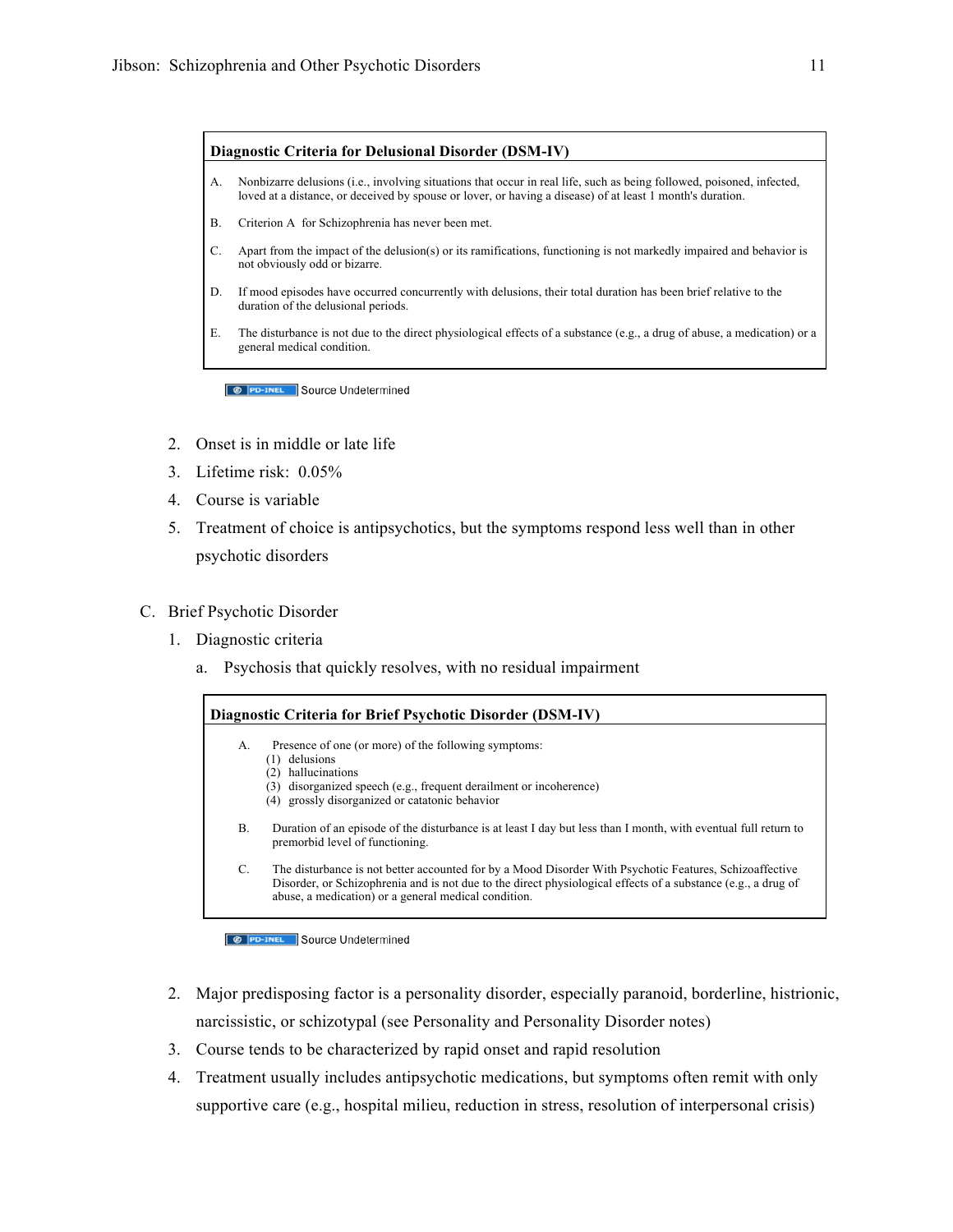#### **Diagnostic Criteria for Delusional Disorder (DSM-IV)**

- A. Nonbizarre delusions (i.e., involving situations that occur in real life, such as being followed, poisoned, infected, loved at a distance, or deceived by spouse or lover, or having a disease) of at least 1 month's duration.
- B. Criterion A for Schizophrenia has never been met.
- C. Apart from the impact of the delusion(s) or its ramifications, functioning is not markedly impaired and behavior is not obviously odd or bizarre.
- D. If mood episodes have occurred concurrently with delusions, their total duration has been brief relative to the duration of the delusional periods.
- E. The disturbance is not due to the direct physiological effects of a substance (e.g., a drug of abuse, a medication) or a general medical condition.

**C** PD-INEL Source Undetermined

- 2. Onset is in middle or late life
- 3. Lifetime risk: 0.05%
- 4. Course is variable
- 5. Treatment of choice is antipsychotics, but the symptoms respond less well than in other psychotic disorders
- C. Brief Psychotic Disorder
	- 1. Diagnostic criteria
		- a. Psychosis that quickly resolves, with no residual impairment

| Diagnostic Criteria for Brief Psychotic Disorder (DSM-IV) |                                                                                                                                                                                                                                                                                  |  |  |  |
|-----------------------------------------------------------|----------------------------------------------------------------------------------------------------------------------------------------------------------------------------------------------------------------------------------------------------------------------------------|--|--|--|
| А.                                                        | Presence of one (or more) of the following symptoms:<br>(1) delusions<br>hallucinations<br>(2)<br>disorganized speech (e.g., frequent derailment or incoherence)<br>(3)<br>(4) grossly disorganized or catatonic behavior                                                        |  |  |  |
| В.                                                        | Duration of an episode of the disturbance is at least I day but less than I month, with eventual full return to<br>premorbid level of functioning.                                                                                                                               |  |  |  |
| C.                                                        | The disturbance is not better accounted for by a Mood Disorder With Psychotic Features, Schizoaffective<br>Disorder, or Schizophrenia and is not due to the direct physiological effects of a substance (e.g., a drug of<br>abuse, a medication) or a general medical condition. |  |  |  |

**8** PD-INEL Source Undetermined

- 2. Major predisposing factor is a personality disorder, especially paranoid, borderline, histrionic, narcissistic, or schizotypal (see Personality and Personality Disorder notes)
- 3. Course tends to be characterized by rapid onset and rapid resolution
- 4. Treatment usually includes antipsychotic medications, but symptoms often remit with only supportive care (e.g., hospital milieu, reduction in stress, resolution of interpersonal crisis)